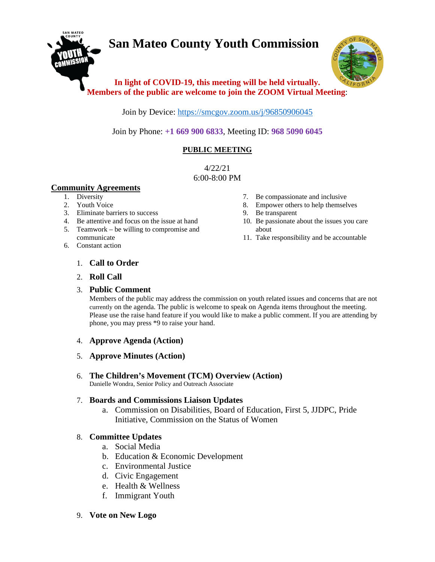# **San Mateo County Youth Commission**



# **In light of COVID-19, this meeting will be held virtually. Members of the public are welcome to join the ZOOM Virtual Meeting**:

Join by Device:<https://smcgov.zoom.us/j/96850906045>

Join by Phone: **+1 669 900 6833**, Meeting ID: **968 5090 6045**

# **PUBLIC MEETING**

4/22/21 6:00-8:00 PM

# **Community Agreements**

- 1. Diversity
- 2. Youth Voice
- 3. Eliminate barriers to success
- 4. Be attentive and focus on the issue at hand
- 5. Teamwork be willing to compromise and communicate
- 6. Constant action
- 7. Be compassionate and inclusive
- 8. Empower others to help themselves
- 9. Be transparent
- 10. Be passionate about the issues you care about
- 11. Take responsibility and be accountable

- 1. **Call to Order**
- 2. **Roll Call**

# 3. **Public Comment**

Members of the public may address the commission on youth related issues and concerns that are not currently on the agenda. The public is welcome to speak on Agenda items throughout the meeting. Please use the raise hand feature if you would like to make a public comment. If you are attending by phone, you may press \*9 to raise your hand.

# 4. **Approve Agenda (Action)**

- 5. **Approve Minutes (Action)**
- 6. **The Children's Movement (TCM) Overview (Action)** Danielle Wondra, Senior Policy and Outreach Associate

# 7. **Boards and Commissions Liaison Updates**

a. Commission on Disabilities, Board of Education, First 5, JJDPC, Pride Initiative, Commission on the Status of Women

# 8. **Committee Updates**

- a. Social Media
- b. Education & Economic Development
- c. Environmental Justice
- d. Civic Engagement
- e. Health & Wellness
- f. Immigrant Youth
- 9. **Vote on New Logo**